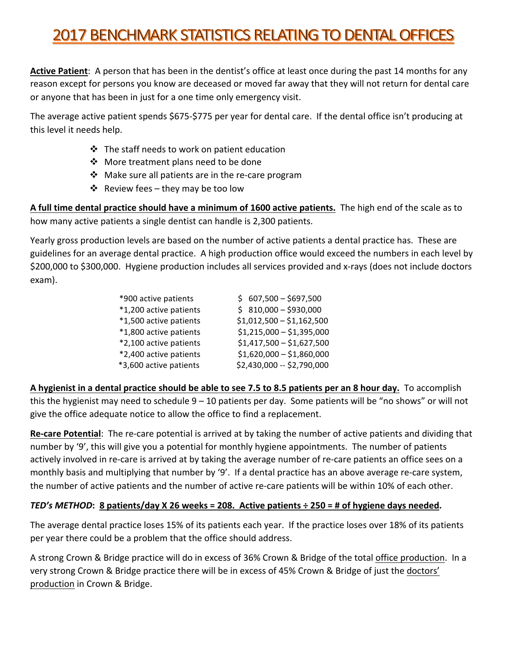# **2017 BENCHMARK STATISTICS RELATING TO DENTAL OFFICES**

**Active Patient**: A person that has been in the dentist's office at least once during the past 14 months for any reason except for persons you know are deceased or moved far away that they will not return for dental care or anyone that has been in just for a one time only emergency visit.

The average active patient spends \$675-\$775 per year for dental care. If the dental office isn't producing at this level it needs help.

- $\cdot$  The staff needs to work on patient education
- ❖ More treatment plans need to be done
- $\cdot$  Make sure all patients are in the re-care program
- $\dots$  Review fees they may be too low

**A** full time dental practice should have a minimum of 1600 active patients. The high end of the scale as to how many active patients a single dentist can handle is 2,300 patients.

Yearly gross production levels are based on the number of active patients a dental practice has. These are guidelines for an average dental practice. A high production office would exceed the numbers in each level by \$200,000 to \$300,000. Hygiene production includes all services provided and x-rays (does not include doctors exam).

| *900 active patients   | $$607,500 - $697,500$      |
|------------------------|----------------------------|
| *1,200 active patients | $$810,000 - $930,000$      |
| *1,500 active patients | $$1,012,500 - $1,162,500$  |
| *1,800 active patients | $$1,215,000 - $1,395,000$  |
| *2,100 active patients | $$1,417,500 - $1,627,500$  |
| *2,400 active patients | $$1,620,000 - $1,860,000$  |
| *3,600 active patients | \$2,430,000 -- \$2,790,000 |

A hygienist in a dental practice should be able to see 7.5 to 8.5 patients per an 8 hour day. To accomplish this the hygienist may need to schedule  $9-10$  patients per day. Some patients will be "no shows" or will not give the office adequate notice to allow the office to find a replacement.

**Re-care Potential**: The re-care potential is arrived at by taking the number of active patients and dividing that number by '9', this will give you a potential for monthly hygiene appointments. The number of patients actively involved in re-care is arrived at by taking the average number of re-care patients an office sees on a monthly basis and multiplying that number by '9'. If a dental practice has an above average re-care system, the number of active patients and the number of active re-care patients will be within 10% of each other.

## *TED's* METHOD: 8 patients/day X 26 weeks = 208. Active patients  $\div$  250 = # of hygiene days needed.

The average dental practice loses 15% of its patients each year. If the practice loses over 18% of its patients per year there could be a problem that the office should address.

A strong Crown & Bridge practice will do in excess of 36% Crown & Bridge of the total office production. In a very strong Crown & Bridge practice there will be in excess of 45% Crown & Bridge of just the doctors' production in Crown & Bridge.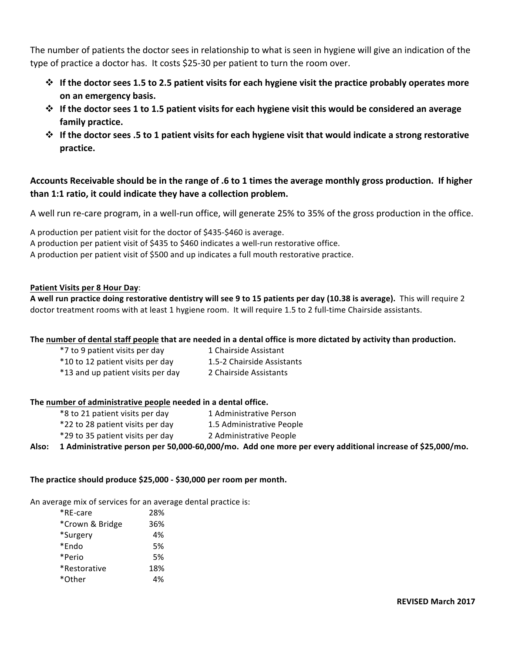The number of patients the doctor sees in relationship to what is seen in hygiene will give an indication of the type of practice a doctor has. It costs \$25-30 per patient to turn the room over.

- $\diamond$  If the doctor sees 1.5 to 2.5 patient visits for each hygiene visit the practice probably operates more **on an emergency basis.**
- \* If the doctor sees 1 to 1.5 patient visits for each hygiene visit this would be considered an average **family practice.**
- $\diamond$  If the doctor sees .5 to 1 patient visits for each hygiene visit that would indicate a strong restorative **practice.**

### Accounts Receivable should be in the range of .6 to 1 times the average monthly gross production. If higher **than 1:1 ratio, it could indicate they have a collection problem.**

A well run re-care program, in a well-run office, will generate 25% to 35% of the gross production in the office.

A production per patient visit for the doctor of \$435-\$460 is average.

A production per patient visit of \$435 to \$460 indicates a well-run restorative office.

A production per patient visit of \$500 and up indicates a full mouth restorative practice.

#### **Patient Visits per 8 Hour Day**:

**A** well run practice doing restorative dentistry will see 9 to 15 patients per day (10.38 is average). This will require 2 doctor treatment rooms with at least 1 hygiene room. It will require 1.5 to 2 full-time Chairside assistants.

#### The number of dental staff people that are needed in a dental office is more dictated by activity than production.

\*7 to 9 patient visits per day 1 Chairside Assistant \*10 to 12 patient visits per day 1.5-2 Chairside Assistants \*13 and up patient visits per day 2 Chairside Assistants

#### **The number of administrative people needed in a dental office.**

\*8 to 21 patient visits per day 1 Administrative Person \*22 to 28 patient visits per day 1.5 Administrative People \*29 to 35 patient visits per day 2 Administrative People

Also: 1 Administrative person per 50,000-60,000/mo. Add one more per every additional increase of \$25,000/mo.

#### The practice should produce \$25,000 - \$30,000 per room per month.

An average mix of services for an average dental practice is:

| *RE-care        | 28% |
|-----------------|-----|
| *Crown & Bridge | 36% |
| *Surgery        | 4%  |
| *Endo           | .5% |
| *Perio          | .5% |
| *Restorative    | 18% |
| *Other          | 4%  |